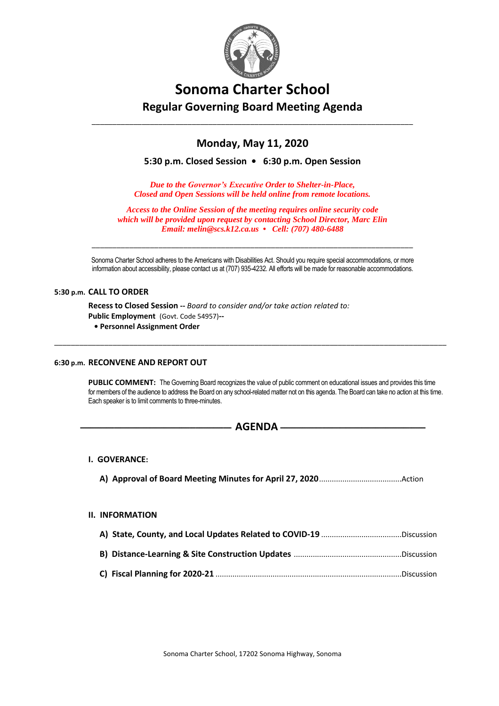

# **Sonoma Charter School Regular Governing Board Meeting Agenda**

## **Monday, May 11, 2020**

\_\_\_\_\_\_\_\_\_\_\_\_\_\_\_\_\_\_\_\_\_\_\_\_\_\_\_\_\_\_\_\_\_\_\_\_\_\_\_\_\_\_\_\_\_\_\_\_\_\_\_\_\_\_\_\_\_\_\_\_\_\_\_\_\_\_\_\_\_\_\_\_\_\_\_\_\_

**5:30 p.m. Closed Session • 6:30 p.m. Open Session**

*Due to the Governor's Executive Order to Shelter-in-Place, Closed and Open Sessions will be held online from remote locations.*

*Access to the Online Session of the meeting requires online security code which will be provided upon request by contacting School Director, Marc Elin Email: melin@scs.k12.ca.us • Cell: (707) 480-6488*

Sonoma Charter School adheres to the Americans with Disabilities Act. Should you require special accommodations, or more information about accessibility, please contact us at (707) 935-4232. All efforts will be made for reasonable accommodations.

\_\_\_\_\_\_\_\_\_\_\_\_\_\_\_\_\_\_\_\_\_\_\_\_\_\_\_\_\_\_\_\_\_\_\_\_\_\_\_\_\_\_\_\_\_\_\_\_\_\_\_\_\_\_\_\_\_\_\_\_\_\_\_\_\_\_\_\_\_\_\_\_\_\_\_\_\_\_\_\_\_\_\_\_\_\_\_\_\_\_\_\_\_\_

\_\_\_\_\_\_\_\_\_\_\_\_\_\_\_\_\_\_\_\_\_\_\_\_\_\_\_\_\_\_\_\_\_\_\_\_\_\_\_\_\_\_\_\_\_\_\_\_\_\_\_\_\_\_\_\_\_\_\_\_\_\_\_\_\_\_\_\_\_\_\_\_\_\_\_\_\_

### **5:30 p.m. CALL TO ORDER**

**Recess to Closed Session --** *Board to consider and/or take action related to:* **Public Employment** (Govt. Code 54957)**--**

 **• Personnel Assignment Order**

### **6:30 p.m. RECONVENE AND REPORT OUT**

PUBLIC COMMENT: The Governing Board recognizes the value of public comment on educational issues and provides this time for members of the audience to address the Board on any school-related matter not on this agenda. The Board can take no action at this time. Each speaker is to limit comments to three-minutes.

## **---------------------------------------------------------------------------- AGENDA -------------------------------------------------------------------------**

### **I. GOVERANCE:**

**A) Approval of Board Meeting Minutes for April 27, 2020**.......................................Action

### **II. INFORMATION**

| A) State, County, and Local Updates Related to COVID-19 Discussion |  |
|--------------------------------------------------------------------|--|
|                                                                    |  |
|                                                                    |  |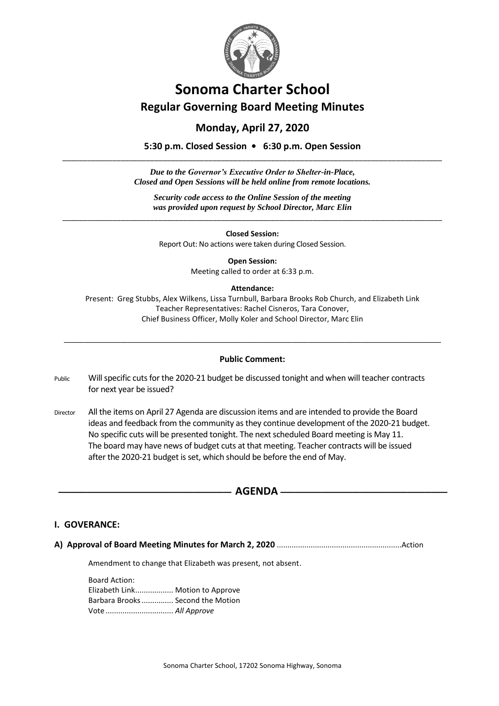

# **Sonoma Charter School Regular Governing Board Meeting Minutes**

## **Monday, April 27, 2020**

**5:30 p.m. Closed Session • 6:30 p.m. Open Session** \_\_\_\_\_\_\_\_\_\_\_\_\_\_\_\_\_\_\_\_\_\_\_\_\_\_\_\_\_\_\_\_\_\_\_\_\_\_\_\_\_\_\_\_\_\_\_\_\_\_\_\_\_\_\_\_\_\_\_\_\_\_\_\_\_\_\_\_\_\_\_\_\_\_\_\_\_\_\_\_\_\_\_\_\_\_\_\_\_\_\_

> *Due to the Governor's Executive Order to Shelter-in-Place, Closed and Open Sessions will be held online from remote locations.*

*Security code access to the Online Session of the meeting was provided upon request by School Director, Marc Elin* 

\_\_\_\_\_\_\_\_\_\_\_\_\_\_\_\_\_\_\_\_\_\_\_\_\_\_\_\_\_\_\_\_\_\_\_\_\_\_\_\_\_\_\_\_\_\_\_\_\_\_\_\_\_\_\_\_\_\_\_\_\_\_\_\_\_\_\_\_\_\_\_\_\_\_\_\_\_\_\_\_\_\_\_\_\_\_\_\_\_\_\_ **Closed Session:**

Report Out: No actions were taken during Closed Session.

**Open Session:** Meeting called to order at 6:33 p.m.

## **Attendance:**

Present: Greg Stubbs, Alex Wilkens, Lissa Turnbull, Barbara Brooks Rob Church, and Elizabeth Link Teacher Representatives: Rachel Cisneros, Tara Conover, Chief Business Officer, Molly Koler and School Director, Marc Elin

## **Public Comment:**

\_\_\_\_\_\_\_\_\_\_\_\_\_\_\_\_\_\_\_\_\_\_\_\_\_\_\_\_\_\_\_\_\_\_\_\_\_\_\_\_\_\_\_\_\_\_\_\_\_\_\_\_\_\_\_\_\_\_\_\_\_\_\_\_\_\_\_\_\_\_\_\_\_\_\_\_\_\_\_\_\_\_\_\_\_\_\_\_\_\_\_\_\_\_

Public Will specific cuts for the 2020-21 budget be discussed tonight and when will teacher contracts for next year be issued?

Director All the items on April 27 Agenda are discussion items and are intended to provide the Board ideas and feedback from the community as they continue development of the 2020-21 budget. No specific cuts will be presented tonight. The next scheduled Board meeting is May 11. The board may have news of budget cuts at that meeting. Teacher contracts will be issued after the 2020-21 budget is set, which should be before the end of May.

## $AGENDA$   $-$

## **I. GOVERANCE:**

**A) Approval of Board Meeting Minutes for March 2, 2020** ...........................................................Action

Amendment to change that Elizabeth was present, not absent.

Board Action: Elizabeth Link.................. Motion to Approve Barbara Brooks............... Second the Motion Vote ................................ *All Approve*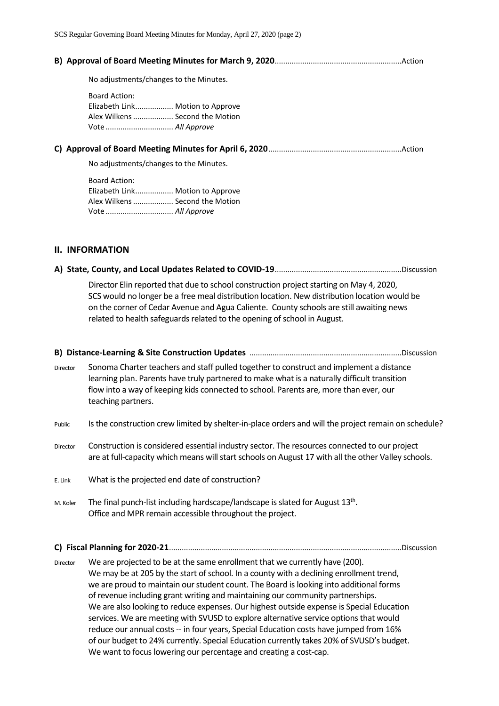|  | No adjustments/changes to the Minutes.                                                                           |  |  |  |
|--|------------------------------------------------------------------------------------------------------------------|--|--|--|
|  | <b>Board Action:</b><br>Elizabeth Link Motion to Approve<br>Alex Wilkens  Second the Motion                      |  |  |  |
|  |                                                                                                                  |  |  |  |
|  | No adjustments/changes to the Minutes.                                                                           |  |  |  |
|  | <b>Board Action:</b><br>Elizabeth Link Motion to Approve<br>Alex Wilkens  Second the Motion<br>Vote  All Approve |  |  |  |

## **II. INFORMATION**

|--|--|--|--|--|--|

Director Elin reported that due to school construction project starting on May 4, 2020, SCS would no longer be a free meal distribution location. New distribution location would be on the corner of Cedar Avenue and Agua Caliente. County schools are still awaiting news related to health safeguards related to the opening of school in August.

|          | .Discussion                                                                                                                                                                                                                                                                                            |
|----------|--------------------------------------------------------------------------------------------------------------------------------------------------------------------------------------------------------------------------------------------------------------------------------------------------------|
| Director | Sonoma Charter teachers and staff pulled together to construct and implement a distance<br>learning plan. Parents have truly partnered to make what is a naturally difficult transition<br>flow into a way of keeping kids connected to school. Parents are, more than ever, our<br>teaching partners. |
| Public   | Is the construction crew limited by shelter-in-place orders and will the project remain on schedule?                                                                                                                                                                                                   |
| Director | Construction is considered essential industry sector. The resources connected to our project<br>are at full-capacity which means will start schools on August 17 with all the other Valley schools.                                                                                                    |
| E. Link  | What is the projected end date of construction?                                                                                                                                                                                                                                                        |
| M. Koler | The final punch-list including hardscape/landscape is slated for August 13 <sup>th</sup> .<br>Office and MPR remain accessible throughout the project.                                                                                                                                                 |

**C) Fiscal Planning for 2020-21**..............................................................................................................Discussion

Director We are projected to be at the same enrollment that we currently have (200). We may be at 205 by the start of school. In a county with a declining enrollment trend, we are proud to maintain our student count. The Board is looking into additional forms of revenue including grant writing and maintaining our community partnerships. We are also looking to reduce expenses. Our highest outside expense is Special Education services. We are meeting with SVUSD to explore alternative service options that would reduce our annual costs -- in four years, Special Education costs have jumped from 16% of our budget to 24% currently. Special Education currently takes 20% of SVUSD's budget. We want to focus lowering our percentage and creating a cost-cap.